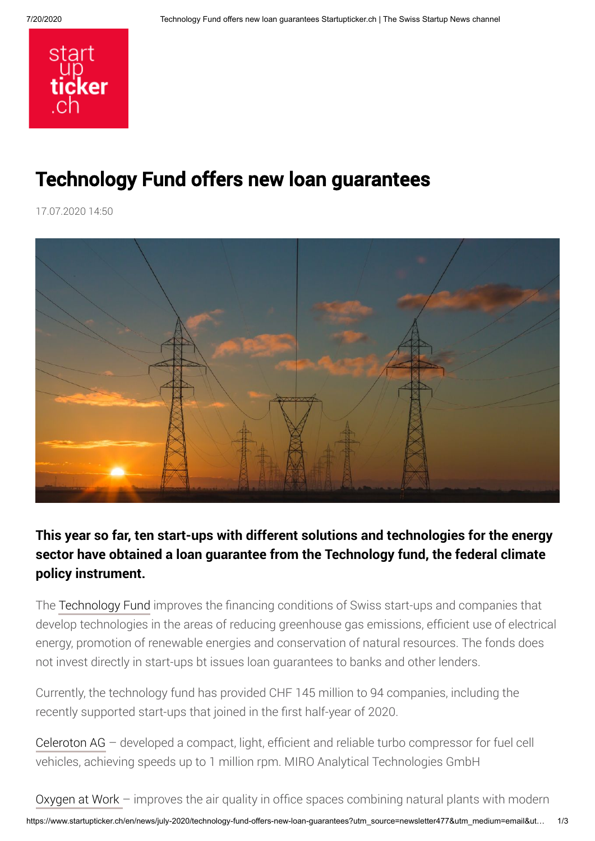

## Technology Fund offers new loan guarantees

17.07.2020 14:50



## **This year so far, ten start-ups with different solutions and technologies for the energy sector have obtained a loan guarantee from the Technology fund, the federal climate policy instrument.**

The [Technology Fund](https://www.technologiefonds.ch/) improves the financing conditions of Swiss start-ups and companies that develop technologies in the areas of reducing greenhouse gas emissions, efficient use of electrical energy, promotion of renewable energies and conservation of natural resources. The fonds does not invest directly in start-ups bt issues loan guarantees to banks and other lenders.

Currently, the technology fund has provided CHF 145 million to 94 companies, including the recently supported start-ups that joined in the first half-year of 2020.

[Celeroton AG](https://www.celeroton.com/index.php) – developed a compact, light, efficient and reliable turbo compressor for fuel cell vehicles, achieving speeds up to 1 million rpm. MIRO Analytical Technologies GmbH

https://www.startupticker.ch/en/news/july-2020/technology-fund-offers-new-loan-guarantees?utm\_source=newsletter477&utm\_medium=email&ut… 1/3 [Oxygen at Work –](https://www.oxygenatwork.org/) improves the air quality in office spaces combining natural plants with modern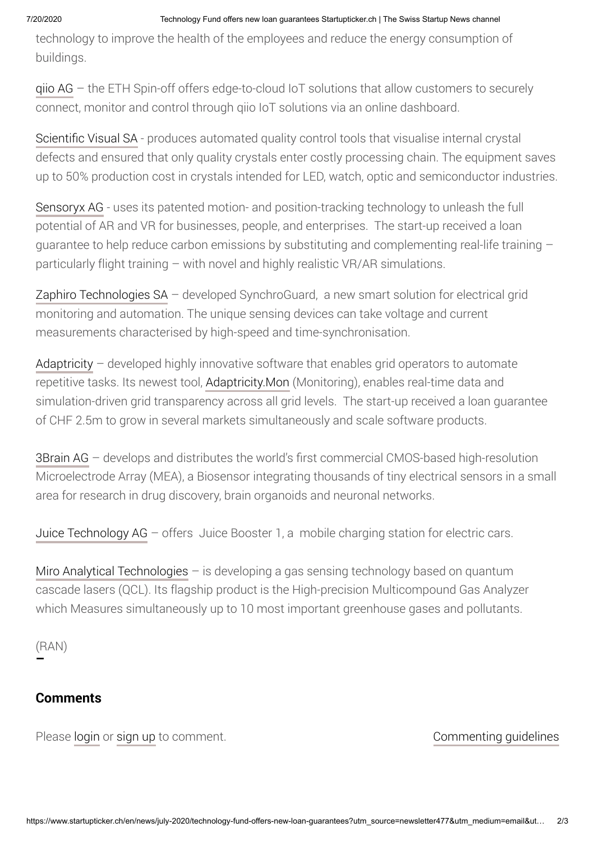technology to improve the health of the employees and reduce the energy consumption of buildings.

[qiio AG](https://qiio.com/) – the ETH Spin-off offers edge-to-cloud IoT solutions that allow customers to securely connect, monitor and control through qiio IoT solutions via an online dashboard.

[Scientific Visual SA](https://scientificvisual.ch/) - produces automated quality control tools that visualise internal crystal defects and ensured that only quality crystals enter costly processing chain. The equipment saves up to 50% production cost in crystals intended for LED, watch, optic and semiconductor industries.

[Sensoryx AG](https://www.sensoryx.com/) - uses its patented motion- and position-tracking technology to unleash the full potential of AR and VR for businesses, people, and enterprises. The start-up received a loan guarantee to help reduce carbon emissions by substituting and complementing real-life training – particularly flight training – with novel and highly realistic VR/AR simulations.

[Zaphiro Technologies SA](https://zaphiro.ch/) – developed SynchroGuard, a new smart solution for electrical grid monitoring and automation. The unique sensing devices can take voltage and current measurements characterised by high-speed and time-synchronisation.

[Adaptricity](https://adaptricity.com/en/) - developed highly innovative software that enables grid operators to automate repetitive tasks. Its newest tool, [Adaptricity.Mon](https://adaptricity.com/en/adaptricity-products/monitoring/) (Monitoring), enables real-time data and simulation-driven grid transparency across all grid levels. The start-up received a loan guarantee of CHF 2.5m to grow in several markets simultaneously and scale software products.

[3Brain AG](https://www.3brain.com/) – develops and distributes the world's first commercial CMOS-based high-resolution Microelectrode Array (MEA), a Biosensor integrating thousands of tiny electrical sensors in a small area for research in drug discovery, brain organoids and neuronal networks.

[Juice Technology AG](https://en.juice-world.com/) – offers Juice Booster 1, a mobile charging station for electric cars.

[Miro Analytical Technologies](https://www.miro-analytical.com/) – is developing a gas sensing technology based on quantum cascade lasers (QCL). Its flagship product is the High-precision Multicompound Gas Analyzer which Measures simultaneously up to 10 most important greenhouse gases and pollutants.

(RAN) **–**

## **Comments**

Please [login](https://www.startupticker.ch/en/login) or [sign up](https://www.startupticker.ch/en/profile) to comment.

## [Commenting guidelines](https://www.startupticker.ch/en/commenting-guidelines)